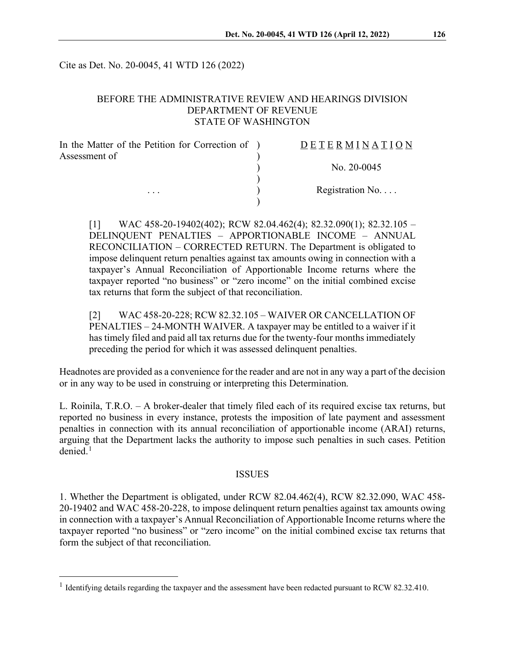Cite as Det. No. 20-0045, 41 WTD 126 (2022)

## BEFORE THE ADMINISTRATIVE REVIEW AND HEARINGS DIVISION DEPARTMENT OF REVENUE STATE OF WASHINGTON

| In the Matter of the Petition for Correction of ) | DETERMINATION             |
|---------------------------------------------------|---------------------------|
| Assessment of                                     |                           |
|                                                   | No. $20-0045$             |
|                                                   |                           |
| $\cdots$                                          | Registration $No. \ldots$ |
|                                                   |                           |

 $[1]$  WAC 458-20-19402(402); RCW 82.04.462(4); 82.32.090(1); 82.32.105 – DELINQUENT PENALTIES – APPORTIONABLE INCOME – ANNUAL RECONCILIATION – CORRECTED RETURN. The Department is obligated to impose delinquent return penalties against tax amounts owing in connection with a taxpayer's Annual Reconciliation of Apportionable Income returns where the taxpayer reported "no business" or "zero income" on the initial combined excise tax returns that form the subject of that reconciliation.

[2] WAC 458-20-228; RCW 82.32.105 – WAIVER OR CANCELLATION OF PENALTIES – 24-MONTH WAIVER. A taxpayer may be entitled to a waiver if it has timely filed and paid all tax returns due for the twenty-four months immediately preceding the period for which it was assessed delinquent penalties.

Headnotes are provided as a convenience for the reader and are not in any way a part of the decision or in any way to be used in construing or interpreting this Determination.

L. Roinila, T.R.O. – A broker-dealer that timely filed each of its required excise tax returns, but reported no business in every instance, protests the imposition of late payment and assessment penalties in connection with its annual reconciliation of apportionable income (ARAI) returns, arguing that the Department lacks the authority to impose such penalties in such cases. Petition  $denied<sup>1</sup>$  $denied<sup>1</sup>$  $denied<sup>1</sup>$ 

### ISSUES

1. Whether the Department is obligated, under RCW 82.04.462(4), RCW 82.32.090, WAC 458- 20-19402 and WAC 458-20-228, to impose delinquent return penalties against tax amounts owing in connection with a taxpayer's Annual Reconciliation of Apportionable Income returns where the taxpayer reported "no business" or "zero income" on the initial combined excise tax returns that form the subject of that reconciliation.

<span id="page-0-0"></span><sup>&</sup>lt;sup>1</sup> Identifying details regarding the taxpayer and the assessment have been redacted pursuant to RCW 82.32.410.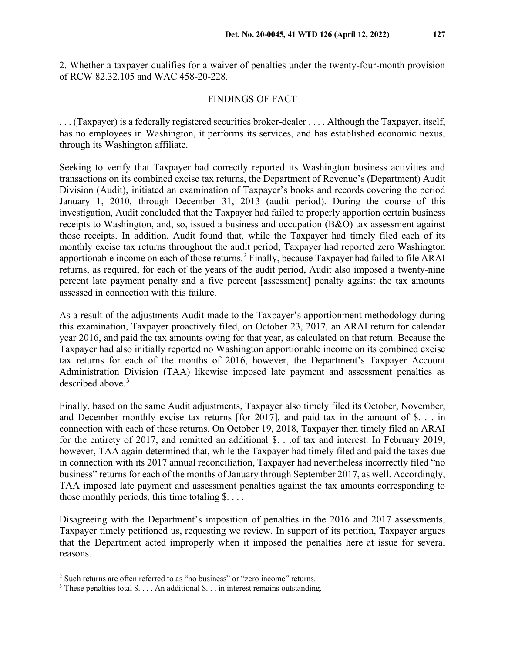2. Whether a taxpayer qualifies for a waiver of penalties under the twenty-four-month provision of RCW 82.32.105 and WAC 458-20-228.

## FINDINGS OF FACT

. . . (Taxpayer) is a federally registered securities broker-dealer . . . . Although the Taxpayer, itself, has no employees in Washington, it performs its services, and has established economic nexus, through its Washington affiliate.

Seeking to verify that Taxpayer had correctly reported its Washington business activities and transactions on its combined excise tax returns, the Department of Revenue's (Department) Audit Division (Audit), initiated an examination of Taxpayer's books and records covering the period January 1, 2010, through December 31, 2013 (audit period). During the course of this investigation, Audit concluded that the Taxpayer had failed to properly apportion certain business receipts to Washington, and, so, issued a business and occupation (B&O) tax assessment against those receipts. In addition, Audit found that, while the Taxpayer had timely filed each of its monthly excise tax returns throughout the audit period, Taxpayer had reported zero Washington apportionable income on each of those returns.<sup>[2](#page-1-0)</sup> Finally, because Taxpayer had failed to file ARAI returns, as required, for each of the years of the audit period, Audit also imposed a twenty-nine percent late payment penalty and a five percent [assessment] penalty against the tax amounts assessed in connection with this failure.

As a result of the adjustments Audit made to the Taxpayer's apportionment methodology during this examination, Taxpayer proactively filed, on October 23, 2017, an ARAI return for calendar year 2016, and paid the tax amounts owing for that year, as calculated on that return. Because the Taxpayer had also initially reported no Washington apportionable income on its combined excise tax returns for each of the months of 2016, however, the Department's Taxpayer Account Administration Division (TAA) likewise imposed late payment and assessment penalties as described above. [3](#page-1-1)

Finally, based on the same Audit adjustments, Taxpayer also timely filed its October, November, and December monthly excise tax returns [for 2017], and paid tax in the amount of \$. . . in connection with each of these returns. On October 19, 2018, Taxpayer then timely filed an ARAI for the entirety of 2017, and remitted an additional \$. . .of tax and interest. In February 2019, however, TAA again determined that, while the Taxpayer had timely filed and paid the taxes due in connection with its 2017 annual reconciliation, Taxpayer had nevertheless incorrectly filed "no business" returns for each of the months of January through September 2017, as well. Accordingly, TAA imposed late payment and assessment penalties against the tax amounts corresponding to those monthly periods, this time totaling  $\S$ ....

Disagreeing with the Department's imposition of penalties in the 2016 and 2017 assessments, Taxpayer timely petitioned us, requesting we review. In support of its petition, Taxpayer argues that the Department acted improperly when it imposed the penalties here at issue for several reasons.

<span id="page-1-0"></span> $2$  Such returns are often referred to as "no business" or "zero income" returns.

<span id="page-1-1"></span><sup>&</sup>lt;sup>3</sup> These penalties total \$. . . . An additional \$. . . in interest remains outstanding.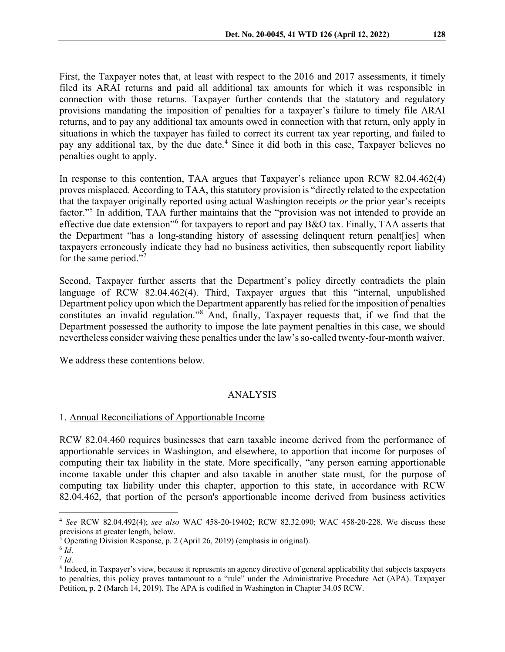First, the Taxpayer notes that, at least with respect to the 2016 and 2017 assessments, it timely filed its ARAI returns and paid all additional tax amounts for which it was responsible in connection with those returns. Taxpayer further contends that the statutory and regulatory provisions mandating the imposition of penalties for a taxpayer's failure to timely file ARAI returns, and to pay any additional tax amounts owed in connection with that return, only apply in situations in which the taxpayer has failed to correct its current tax year reporting, and failed to pay any additional tax, by the due date.<sup>[4](#page-2-0)</sup> Since it did both in this case, Taxpayer believes no penalties ought to apply.

In response to this contention, TAA argues that Taxpayer's reliance upon RCW 82.04.462(4) proves misplaced. According to TAA, this statutory provision is "directly related to the expectation that the taxpayer originally reported using actual Washington receipts *or* the prior year's receipts factor."<sup>[5](#page-2-1)</sup> In addition, TAA further maintains that the "provision was not intended to provide an effective due date extension"[6](#page-2-2) for taxpayers to report and pay B&O tax. Finally, TAA asserts that the Department "has a long-standing history of assessing delinquent return penalt[ies] when taxpayers erroneously indicate they had no business activities, then subsequently report liability for the same period."<sup>[7](#page-2-3)</sup>

Second, Taxpayer further asserts that the Department's policy directly contradicts the plain language of RCW 82.04.462(4). Third, Taxpayer argues that this "internal, unpublished Department policy upon which the Department apparently has relied for the imposition of penalties constitutes an invalid regulation."[8](#page-2-4) And, finally, Taxpayer requests that, if we find that the Department possessed the authority to impose the late payment penalties in this case, we should nevertheless consider waiving these penalties under the law's so-called twenty-four-month waiver.

We address these contentions below.

## ANALYSIS

### 1. Annual Reconciliations of Apportionable Income

RCW 82.04.460 requires businesses that earn taxable income derived from the performance of apportionable services in Washington, and elsewhere, to apportion that income for purposes of computing their tax liability in the state. More specifically, "any person earning apportionable income taxable under this chapter and also taxable in another state must, for the purpose of computing tax liability under this chapter, apportion to this state, in accordance with RCW 82.04.462, that portion of the person's apportionable income derived from business activities

<span id="page-2-0"></span><sup>4</sup> *See* RCW 82.04.492(4); *see also* WAC 458-20-19402; RCW 82.32.090; WAC 458-20-228. We discuss these previsions at greater length, below.

<span id="page-2-1"></span> $5$  Operating Division Response, p. 2 (April 26, 2019) (emphasis in original).  $6$  *Id*.

<span id="page-2-2"></span>

<span id="page-2-4"></span><span id="page-2-3"></span><sup>&</sup>lt;sup>7</sup> *Id*. 8 Indeed, in Taxpayer's view, because it represents an agency directive of general applicability that subjects taxpayers to penalties, this policy proves tantamount to a "rule" under the Administrative Procedure Act (APA). Taxpayer Petition, p. 2 (March 14, 2019). The APA is codified in Washington in Chapter 34.05 RCW.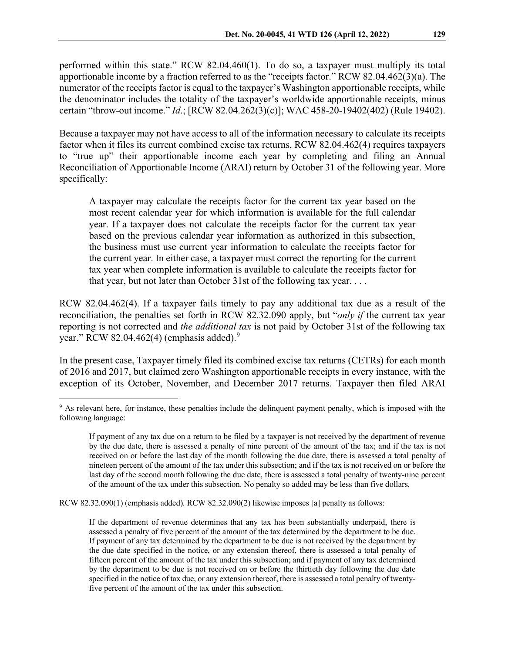performed within this state." RCW 82.04.460(1). To do so, a taxpayer must multiply its total apportionable income by a fraction referred to as the "receipts factor." RCW 82.04.462(3)(a). The numerator of the receipts factor is equal to the taxpayer's Washington apportionable receipts, while the denominator includes the totality of the taxpayer's worldwide apportionable receipts, minus certain "throw-out income." *Id*.; [RCW 82.04.262(3)(c)]; WAC 458-20-19402(402) (Rule 19402).

Because a taxpayer may not have access to all of the information necessary to calculate its receipts factor when it files its current combined excise tax returns, RCW 82.04.462(4) requires taxpayers to "true up" their apportionable income each year by completing and filing an Annual Reconciliation of Apportionable Income (ARAI) return by October 31 of the following year. More specifically:

A taxpayer may calculate the receipts factor for the current tax year based on the most recent calendar year for which information is available for the full calendar year. If a taxpayer does not calculate the receipts factor for the current tax year based on the previous calendar year information as authorized in this subsection, the business must use current year information to calculate the receipts factor for the current year. In either case, a taxpayer must correct the reporting for the current tax year when complete information is available to calculate the receipts factor for that year, but not later than October 31st of the following tax year. . . .

RCW 82.04.462(4). If a taxpayer fails timely to pay any additional tax due as a result of the reconciliation, the penalties set forth in RCW 82.32.090 apply, but "*only if* the current tax year reporting is not corrected and *the additional tax* is not paid by October 31st of the following tax year." RCW 82.04.462(4) (emphasis added). $9$ 

In the present case, Taxpayer timely filed its combined excise tax returns (CETRs) for each month of 2016 and 2017, but claimed zero Washington apportionable receipts in every instance, with the exception of its October, November, and December 2017 returns. Taxpayer then filed ARAI

RCW 82.32.090(1) (emphasis added). RCW 82.32.090(2) likewise imposes [a] penalty as follows:

<span id="page-3-0"></span><sup>&</sup>lt;sup>9</sup> As relevant here, for instance, these penalties include the delinquent payment penalty, which is imposed with the following language:

If payment of any tax due on a return to be filed by a taxpayer is not received by the department of revenue by the due date, there is assessed a penalty of nine percent of the amount of the tax; and if the tax is not received on or before the last day of the month following the due date, there is assessed a total penalty of nineteen percent of the amount of the tax under this subsection; and if the tax is not received on or before the last day of the second month following the due date, there is assessed a total penalty of twenty-nine percent of the amount of the tax under this subsection. No penalty so added may be less than five dollars.

If the department of revenue determines that any tax has been substantially underpaid, there is assessed a penalty of five percent of the amount of the tax determined by the department to be due. If payment of any tax determined by the department to be due is not received by the department by the due date specified in the notice, or any extension thereof, there is assessed a total penalty of fifteen percent of the amount of the tax under this subsection; and if payment of any tax determined by the department to be due is not received on or before the thirtieth day following the due date specified in the notice of tax due, or any extension thereof, there is assessed a total penalty of twentyfive percent of the amount of the tax under this subsection.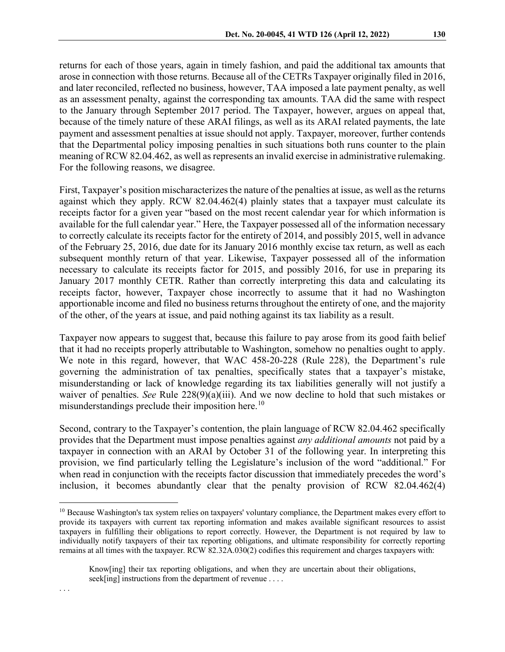returns for each of those years, again in timely fashion, and paid the additional tax amounts that arose in connection with those returns. Because all of the CETRs Taxpayer originally filed in 2016, and later reconciled, reflected no business, however, TAA imposed a late payment penalty, as well as an assessment penalty, against the corresponding tax amounts. TAA did the same with respect to the January through September 2017 period. The Taxpayer, however, argues on appeal that, because of the timely nature of these ARAI filings, as well as its ARAI related payments, the late payment and assessment penalties at issue should not apply. Taxpayer, moreover, further contends that the Departmental policy imposing penalties in such situations both runs counter to the plain meaning of RCW 82.04.462, as well as represents an invalid exercise in administrative rulemaking. For the following reasons, we disagree.

First, Taxpayer's position mischaracterizes the nature of the penalties at issue, as well as the returns against which they apply. RCW 82.04.462(4) plainly states that a taxpayer must calculate its receipts factor for a given year "based on the most recent calendar year for which information is available for the full calendar year." Here, the Taxpayer possessed all of the information necessary to correctly calculate its receipts factor for the entirety of 2014, and possibly 2015, well in advance of the February 25, 2016, due date for its January 2016 monthly excise tax return, as well as each subsequent monthly return of that year. Likewise, Taxpayer possessed all of the information necessary to calculate its receipts factor for 2015, and possibly 2016, for use in preparing its January 2017 monthly CETR. Rather than correctly interpreting this data and calculating its receipts factor, however, Taxpayer chose incorrectly to assume that it had no Washington apportionable income and filed no business returns throughout the entirety of one, and the majority of the other, of the years at issue, and paid nothing against its tax liability as a result.

Taxpayer now appears to suggest that, because this failure to pay arose from its good faith belief that it had no receipts properly attributable to Washington, somehow no penalties ought to apply. We note in this regard, however, that WAC 458-20-228 (Rule 228), the Department's rule governing the administration of tax penalties, specifically states that a taxpayer's mistake, misunderstanding or lack of knowledge regarding its tax liabilities generally will not justify a waiver of penalties. *See* Rule 228(9)(a)(iii). And we now decline to hold that such mistakes or misunderstandings preclude their imposition here.<sup>[10](#page-4-0)</sup>

Second, contrary to the Taxpayer's contention, the plain language of RCW 82.04.462 specifically provides that the Department must impose penalties against *any additional amounts* not paid by a taxpayer in connection with an ARAI by October 31 of the following year. In interpreting this provision, we find particularly telling the Legislature's inclusion of the word "additional." For when read in conjunction with the receipts factor discussion that immediately precedes the word's inclusion, it becomes abundantly clear that the penalty provision of RCW 82.04.462(4)

<span id="page-4-0"></span><sup>&</sup>lt;sup>10</sup> Because Washington's tax system relies on taxpayers' voluntary compliance, the Department makes every effort to provide its taxpayers with current tax reporting information and makes available significant resources to assist taxpayers in fulfilling their obligations to report correctly. However, the Department is not required by law to individually notify taxpayers of their tax reporting obligations, and ultimate responsibility for correctly reporting remains at all times with the taxpayer. RCW 82.32A.030(2) codifies this requirement and charges taxpayers with:

Know[ing] their tax reporting obligations, and when they are uncertain about their obligations, seek[ing] instructions from the department of revenue . . . .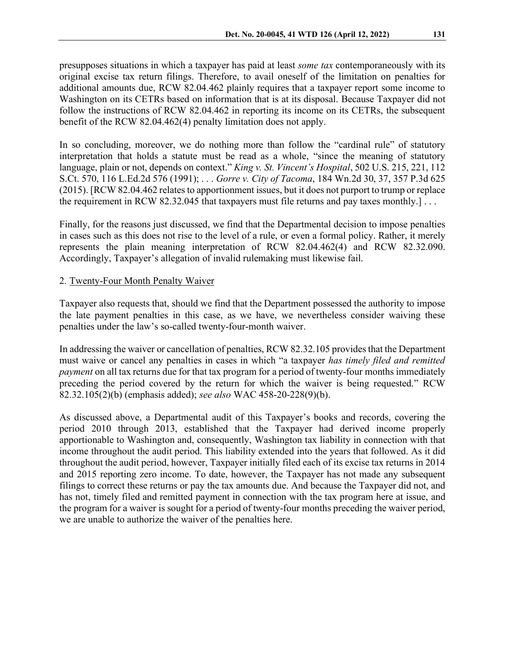presupposes situations in which a taxpayer has paid at least *some tax* contemporaneously with its original excise tax return filings. Therefore, to avail oneself of the limitation on penalties for additional amounts due, RCW 82.04.462 plainly requires that a taxpayer report some income to Washington on its CETRs based on information that is at its disposal. Because Taxpayer did not follow the instructions of RCW 82.04.462 in reporting its income on its CETRs, the subsequent benefit of the RCW 82.04.462(4) penalty limitation does not apply.

In so concluding, moreover, we do nothing more than follow the "cardinal rule" of statutory interpretation that holds a statute must be read as a whole, "since the meaning of statutory language, plain or not, depends on context." *King v. St. Vincent's Hospital*, 502 U.S. 215, 221, 112 S.Ct. 570, 116 L.Ed.2d 576 (1991); . . . *Gorre v. City of Tacoma*, 184 Wn.2d 30, 37, 357 P.3d 625 (2015). [RCW 82.04.462 relates to apportionment issues, but it does not purport to trump or replace the requirement in RCW 82.32.045 that taxpayers must file returns and pay taxes monthly.] . . .

Finally, for the reasons just discussed, we find that the Departmental decision to impose penalties in cases such as this does not rise to the level of a rule, or even a formal policy. Rather, it merely represents the plain meaning interpretation of RCW 82.04.462(4) and RCW 82.32.090. Accordingly, Taxpayer's allegation of invalid rulemaking must likewise fail.

### 2. Twenty-Four Month Penalty Waiver

Taxpayer also requests that, should we find that the Department possessed the authority to impose the late payment penalties in this case, as we have, we nevertheless consider waiving these penalties under the law's so-called twenty-four-month waiver.

In addressing the waiver or cancellation of penalties, RCW 82.32.105 provides that the Department must waive or cancel any penalties in cases in which "a taxpayer *has timely filed and remitted payment* on all tax returns due for that tax program for a period of twenty-four months immediately preceding the period covered by the return for which the waiver is being requested." RCW 82.32.105(2)(b) (emphasis added); *see also* WAC 458-20-228(9)(b).

As discussed above, a Departmental audit of this Taxpayer's books and records, covering the period 2010 through 2013, established that the Taxpayer had derived income properly apportionable to Washington and, consequently, Washington tax liability in connection with that income throughout the audit period. This liability extended into the years that followed. As it did throughout the audit period, however, Taxpayer initially filed each of its excise tax returns in 2014 and 2015 reporting zero income. To date, however, the Taxpayer has not made any subsequent filings to correct these returns or pay the tax amounts due. And because the Taxpayer did not, and has not, timely filed and remitted payment in connection with the tax program here at issue, and the program for a waiver is sought for a period of twenty-four months preceding the waiver period, we are unable to authorize the waiver of the penalties here.